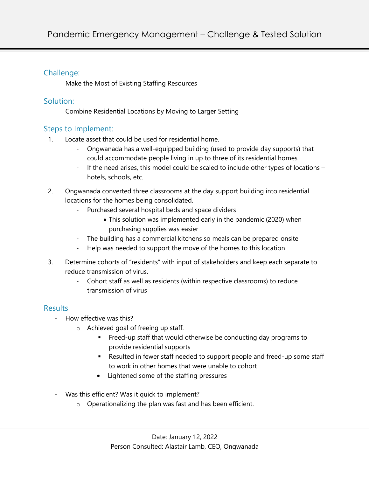## Challenge:

Make the Most of Existing Staffing Resources

### Solution:

Combine Residential Locations by Moving to Larger Setting

# Steps to Implement:

- 1. Locate asset that could be used for residential home.
	- Ongwanada has a well-equipped building (used to provide day supports) that could accommodate people living in up to three of its residential homes
	- If the need arises, this model could be scaled to include other types of locations hotels, schools, etc.
- 2. Ongwanada converted three classrooms at the day support building into residential locations for the homes being consolidated.
	- Purchased several hospital beds and space dividers
		- This solution was implemented early in the pandemic (2020) when purchasing supplies was easier
	- The building has a commercial kitchens so meals can be prepared onsite
	- Help was needed to support the move of the homes to this location
- 3. Determine cohorts of "residents" with input of stakeholders and keep each separate to reduce transmission of virus.
	- Cohort staff as well as residents (within respective classrooms) to reduce transmission of virus

# **Results**

- How effective was this?
	- o Achieved goal of freeing up staff.
		- Freed-up staff that would otherwise be conducting day programs to provide residential supports
		- Resulted in fewer staff needed to support people and freed-up some staff to work in other homes that were unable to cohort
		- Lightened some of the staffing pressures
- Was this efficient? Was it quick to implement?
	- o Operationalizing the plan was fast and has been efficient.